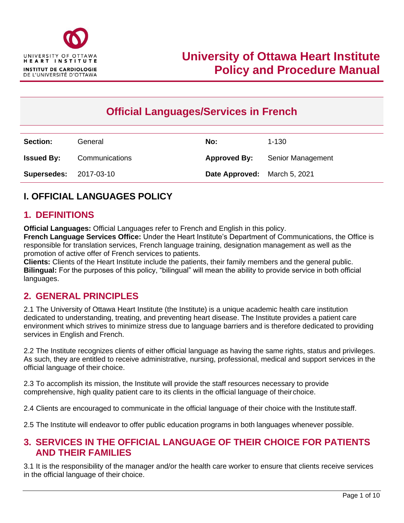

# **Official Languages/Services in French**

| <b>Section:</b>               | General        | No:                          | $1 - 130$         |
|-------------------------------|----------------|------------------------------|-------------------|
| <b>Issued By:</b>             | Communications | <b>Approved By:</b>          | Senior Management |
| <b>Supersedes: 2017-03-10</b> |                | Date Approved: March 5, 2021 |                   |

## **I. OFFICIAL LANGUAGES POLICY**

#### **1. DEFINITIONS**

**Official Languages:** Official Languages refer to French and English in this policy. **French Language Services Office:** Under the Heart Institute's Department of Communications, the Office is responsible for translation services, French language training, designation management as well as the promotion of active offer of French services to patients.

**Clients:** Clients of the Heart Institute include the patients, their family members and the general public. **Bilingual:** For the purposes of this policy, "bilingual" will mean the ability to provide service in both official languages.

#### **2. GENERAL PRINCIPLES**

2.1 The University of Ottawa Heart Institute (the Institute) is a unique academic health care institution dedicated to understanding, treating, and preventing heart disease. The Institute provides a patient care environment which strives to minimize stress due to language barriers and is therefore dedicated to providing services in English and French.

2.2 The Institute recognizes clients of either official language as having the same rights, status and privileges. As such, they are entitled to receive administrative, nursing, professional, medical and support services in the official language of their choice.

2.3 To accomplish its mission, the Institute will provide the staff resources necessary to provide comprehensive, high quality patient care to its clients in the official language of theirchoice.

2.4 Clients are encouraged to communicate in the official language of their choice with the Institutestaff.

2.5 The Institute will endeavor to offer public education programs in both languages whenever possible.

#### **3. SERVICES IN THE OFFICIAL LANGUAGE OF THEIR CHOICE FOR PATIENTS AND THEIR FAMILIES**

3.1 It is the responsibility of the manager and/or the health care worker to ensure that clients receive services in the official language of their choice.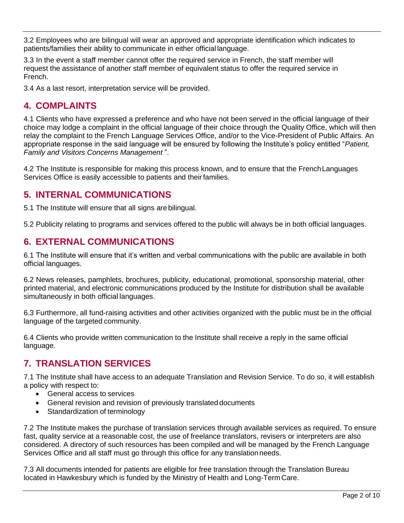3.2 Employees who are bilingual will wear an approved and appropriate identification which indicates to patients/families their ability to communicate in either official language.

3.3 In the event a staff member cannot offer the required service in French, the staff member will request the assistance of another staff member of equivalent status to offer the required service in French.

3.4 As a last resort, interpretation service will be provided.

## **4. COMPLAINTS**

4.1 Clients who have expressed a preference and who have not been served in the official language of their choice may lodge a complaint in the official language of their choice through the Quality Office, which will then relay the complaint to the French Language Services Office, and/or to the Vice-President of Public Affairs. An appropriate response in the said language will be ensured by following the Institute's policy entitled "*[Patient,](https://hearthub.ottawaheart.ca/node/12509)  [Family and Visitors Concerns Management](https://hearthub.ottawaheart.ca/node/12509)* ".

4.2 The Institute is responsible for making this process known, and to ensure that the FrenchLanguages Services Office is easily accessible to patients and theirfamilies.

### **5. INTERNAL COMMUNICATIONS**

5.1 The Institute will ensure that all signs are bilingual.

5.2 Publicity relating to programs and services offered to the public will always be in both official languages.

### **6. EXTERNAL COMMUNICATIONS**

6.1 The Institute will ensure that it's written and verbal communications with the public are available in both official languages.

6.2 News releases, pamphlets, brochures, publicity, educational, promotional, sponsorship material, other printed material, and electronic communications produced by the Institute for distribution shall be available simultaneously in both official languages.

6.3 Furthermore, all fund-raising activities and other activities organized with the public must be in the official language of the targeted community.

6.4 Clients who provide written communication to the Institute shall receive a reply in the same official language.

## **7. TRANSLATION SERVICES**

7.1 The Institute shall have access to an adequate Translation and Revision Service. To do so, it will establish a policy with respect to:

- General access to services
- General revision and revision of previously translated documents
- Standardization of terminology

7.2 The Institute makes the purchase of translation services through available services as required. To ensure fast, quality service at a reasonable cost, the use of freelance translators, revisers or interpreters are also considered. A directory of such resources has been compiled and will be managed by the French Language Services Office and all staff must go through this office for any translationneeds.

7.3 All documents intended for patients are eligible for free translation through the Translation Bureau located in Hawkesbury which is funded by the Ministry of Health and Long-TermCare.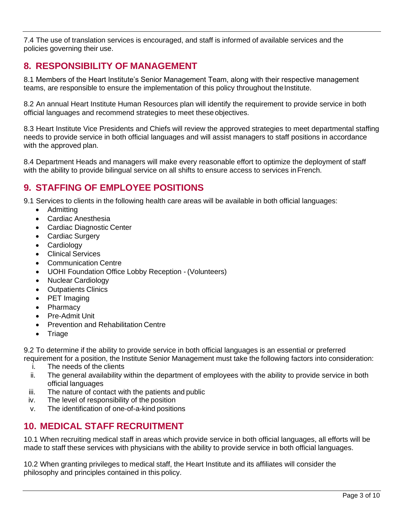7.4 The use of translation services is encouraged, and staff is informed of available services and the policies governing their use.

## **8. RESPONSIBILITY OF MANAGEMENT**

8.1 Members of the Heart Institute's Senior Management Team, along with their respective management teams, are responsible to ensure the implementation of this policy throughout the Institute.

8.2 An annual Heart Institute Human Resources plan will identify the requirement to provide service in both official languages and recommend strategies to meet these objectives.

8.3 Heart Institute Vice Presidents and Chiefs will review the approved strategies to meet departmental staffing needs to provide service in both official languages and will assist managers to staff positions in accordance with the approved plan.

8.4 Department Heads and managers will make every reasonable effort to optimize the deployment of staff with the ability to provide bilingual service on all shifts to ensure access to services in French.

## **9. STAFFING OF EMPLOYEE POSITIONS**

9.1 Services to clients in the following health care areas will be available in both official languages:

- Admitting
- Cardiac Anesthesia
- Cardiac Diagnostic Center
- Cardiac Surgery
- **Cardiology**
- Clinical Services
- Communication Centre
- UOHI Foundation Office Lobby Reception (Volunteers)
- Nuclear Cardiology
- Outpatients Clinics
- PET Imaging
- **Pharmacy**
- Pre-Admit Unit
- Prevention and Rehabilitation Centre
- **Triage**

9.2 To determine if the ability to provide service in both official languages is an essential or preferred

- requirement for a position, the Institute Senior Management must take the following factors into consideration: i. The needs of the clients
	- ii. The general availability within the department of employees with the ability to provide service in both official languages
	- iii. The nature of contact with the patients and public
	- iv. The level of responsibility of the position
	- v. The identification of one-of-a-kind positions

### **10. MEDICAL STAFF RECRUITMENT**

10.1 When recruiting medical staff in areas which provide service in both official languages, all efforts will be made to staff these services with physicians with the ability to provide service in both official languages.

10.2 When granting privileges to medical staff, the Heart Institute and its affiliates will consider the philosophy and principles contained in this policy.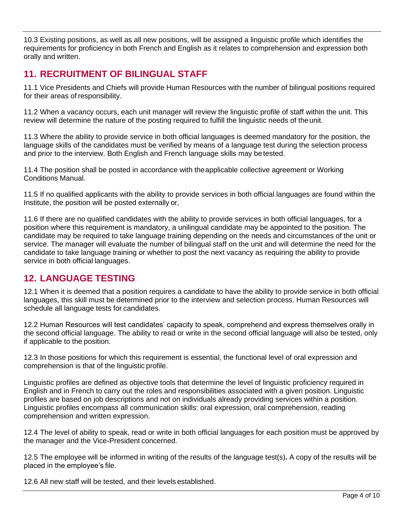10.3 Existing positions, as well as all new positions, will be assigned a linguistic profile which identifies the requirements for proficiency in both French and English as it relates to comprehension and expression both orally and written.

## **11. RECRUITMENT OF BILINGUAL STAFF**

11.1 Vice Presidents and Chiefs will provide Human Resources with the number of bilingual positions required for their areas of responsibility.

11.2 When a vacancy occurs, each unit manager will review the linguistic profile of staff within the unit. This review will determine the nature of the posting required to fulfill the linguistic needs of theunit.

11.3 Where the ability to provide service in both official languages is deemed mandatory for the position, the language skills of the candidates must be verified by means of a language test during the selection process and prior to the interview. Both English and French language skills may betested.

11.4 The position shall be posted in accordance with theapplicable collective agreement or Working Conditions Manual.

11.5 If no qualified applicants with the ability to provide services in both official languages are found within the Institute, the position will be posted externally or,

11.6 If there are no qualified candidates with the ability to provide services in both official languages, for a position where this requirement is mandatory, a unilingual candidate may be appointed to the position. The candidate may be required to take language training depending on the needs and circumstances of the unit or service. The manager will evaluate the number of bilingual staff on the unit and will determine the need for the candidate to take language training or whether to post the next vacancy as requiring the ability to provide service in both official languages.

### **12. LANGUAGE TESTING**

12.1 When it is deemed that a position requires a candidate to have the ability to provide service in both official languages, this skill must be determined prior to the interview and selection process. Human Resources will schedule all language tests for candidates.

12.2 Human Resources will test candidates' capacity to speak, comprehend and express themselves orally in the second official language. The ability to read or write in the second official language will also be tested, only if applicable to the position.

12.3 In those positions for which this requirement is essential, the functional level of oral expression and comprehension is that of the linguistic profile.

Linguistic profiles are defined as objective tools that determine the level of linguistic proficiency required in English and in French to carry out the roles and responsibilities associated with a given position. Linguistic profiles are based on job descriptions and not on individuals already providing services within a position. Linguistic profiles encompass all communication skills: oral expression, oral comprehension, reading comprehension and written expression.

12.4 The level of ability to speak, read or write in both official languages for each position must be approved by the manager and the Vice-President concerned.

12.5 The employee will be informed in writing of the results of the language test(s)**.** A copy of the results will be placed in the employee's file.

12.6 All new staff will be tested, and their levels established.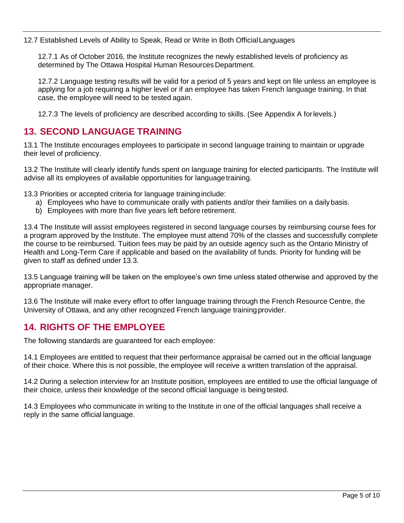12.7 Established Levels of Ability to Speak, Read or Write in Both OfficialLanguages

12.7.1 As of October 2016, the Institute recognizes the newly established levels of proficiency as determined by The Ottawa Hospital Human Resources Department.

12.7.2 Language testing results will be valid for a period of 5 years and kept on file unless an employee is applying for a job requiring a higher level or if an employee has taken French language training. In that case, the employee will need to be tested again.

12.7.3 The levels of proficiency are described according to skills. (See Appendix A forlevels.)

## **13. SECOND LANGUAGE TRAINING**

13.1 The Institute encourages employees to participate in second language training to maintain or upgrade their level of proficiency.

13.2 The Institute will clearly identify funds spent on language training for elected participants. The Institute will advise all its employees of available opportunities for languagetraining.

13.3 Priorities or accepted criteria for language traininginclude:

- a) Employees who have to communicate orally with patients and/or their families on a dailybasis.
- b) Employees with more than five years left before retirement.

13.4 The Institute will assist employees registered in second language courses by reimbursing course fees for a program approved by the Institute. The employee must attend 70% of the classes and successfully complete the course to be reimbursed. Tuition fees may be paid by an outside agency such as the Ontario Ministry of Health and Long-Term Care if applicable and based on the availability of funds. Priority for funding will be given to staff as defined under 13.3.

13.5 Language training will be taken on the employee's own time unless stated otherwise and approved by the appropriate manager.

13.6 The Institute will make every effort to offer language training through the French Resource Centre, the University of Ottawa, and any other recognized French language trainingprovider.

### **14. RIGHTS OF THE EMPLOYEE**

The following standards are guaranteed for each employee:

14.1 Employees are entitled to request that their performance appraisal be carried out in the official language of their choice. Where this is not possible, the employee will receive a written translation of the appraisal.

14.2 During a selection interview for an Institute position, employees are entitled to use the official language of their choice, unless their knowledge of the second official language is being tested.

14.3 Employees who communicate in writing to the Institute in one of the official languages shall receive a reply in the same official language.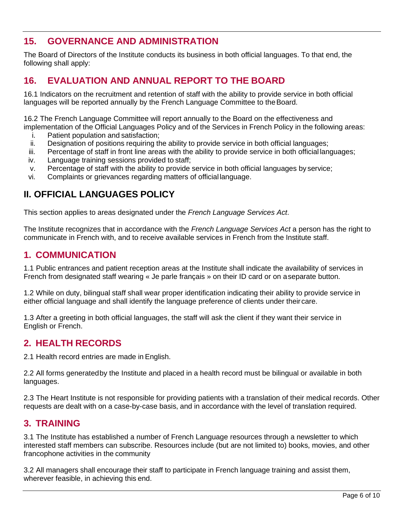## **15. GOVERNANCE AND ADMINISTRATION**

The Board of Directors of the Institute conducts its business in both official languages. To that end, the following shall apply:

### **16. EVALUATION AND ANNUAL REPORT TO THE BOARD**

16.1 Indicators on the recruitment and retention of staff with the ability to provide service in both official languages will be reported annually by the French Language Committee to theBoard.

16.2 The French Language Committee will report annually to the Board on the effectiveness and implementation of the Official Languages Policy and of the Services in French Policy in the following areas:

- i. Patient population and satisfaction;
- ii. Designation of positions requiring the ability to provide service in both official languages;
- iii. Percentage of staff in front line areas with the ability to provide service in both official languages;
- iv. Language training sessions provided to staff;
- v. Percentage of staff with the ability to provide service in both official languages by service;
- vi. Complaints or grievances regarding matters of official language.

### **II. OFFICIAL LANGUAGES POLICY**

This section applies to areas designated under the *French Language Services Act*.

The Institute recognizes that in accordance with the *French Language Services Act* a person has the right to communicate in French with, and to receive available services in French from the Institute staff.

#### **1. COMMUNICATION**

1.1 Public entrances and patient reception areas at the Institute shall indicate the availability of services in French from designated staff wearing « Je parle français » on their ID card or on aseparate button.

1.2 While on duty, bilingual staff shall wear proper identification indicating their ability to provide service in either official language and shall identify the language preference of clients under theircare.

1.3 After a greeting in both official languages, the staff will ask the client if they want their service in English or French.

#### **2. HEALTH RECORDS**

2.1 Health record entries are made in English.

2.2 All forms generatedby the Institute and placed in a health record must be bilingual or available in both languages.

2.3 The Heart Institute is not responsible for providing patients with a translation of their medical records. Other requests are dealt with on a case-by-case basis, and in accordance with the level of translation required.

#### **3. TRAINING**

3.1 The Institute has established a number of French Language resources through a newsletter to which interested staff members can subscribe. Resources include (but are not limited to) books, movies, and other francophone activities in the community

3.2 All managers shall encourage their staff to participate in French language training and assist them, wherever feasible, in achieving this end.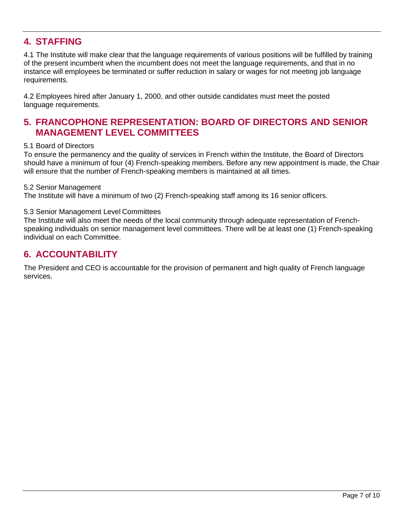## **4. STAFFING**

4.1 The Institute will make clear that the language requirements of various positions will be fulfilled by training of the present incumbent when the incumbent does not meet the language requirements, and that in no instance will employees be terminated or suffer reduction in salary or wages for not meeting job language requirements.

4.2 Employees hired after January 1, 2000, and other outside candidates must meet the posted language requirements.

### **5. FRANCOPHONE REPRESENTATION: BOARD OF DIRECTORS AND SENIOR MANAGEMENT LEVEL COMMITTEES**

#### 5.1 Board of Directors

To ensure the permanency and the quality of services in French within the Institute, the Board of Directors should have a minimum of four (4) French-speaking members. Before any new appointment is made, the Chair will ensure that the number of French-speaking members is maintained at all times.

#### 5.2 Senior Management

The Institute will have a minimum of two (2) French-speaking staff among its 16 senior officers.

#### 5.3 Senior Management Level Committees

The Institute will also meet the needs of the local community through adequate representation of Frenchspeaking individuals on senior management level committees. There will be at least one (1) French-speaking individual on each Committee.

#### **6. ACCOUNTABILITY**

The President and CEO is accountable for the provision of permanent and high quality of French language services.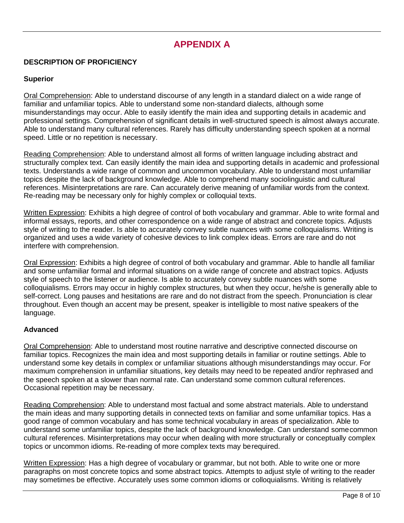## **APPENDIX A**

#### **DESCRIPTION OF PROFICIENCY**

#### **Superior**

Oral Comprehension: Able to understand discourse of any length in a standard dialect on a wide range of familiar and unfamiliar topics. Able to understand some non-standard dialects, although some misunderstandings may occur. Able to easily identify the main idea and supporting details in academic and professional settings. Comprehension of significant details in well-structured speech is almost always accurate. Able to understand many cultural references. Rarely has difficulty understanding speech spoken at a normal speed. Little or no repetition is necessary.

Reading Comprehension: Able to understand almost all forms of written language including abstract and structurally complex text. Can easily identify the main idea and supporting details in academic and professional texts. Understands a wide range of common and uncommon vocabulary. Able to understand most unfamiliar topics despite the lack of background knowledge. Able to comprehend many sociolinguistic and cultural references. Misinterpretations are rare. Can accurately derive meaning of unfamiliar words from the context. Re-reading may be necessary only for highly complex or colloquial texts.

Written Expression: Exhibits a high degree of control of both vocabulary and grammar. Able to write formal and informal essays, reports, and other correspondence on a wide range of abstract and concrete topics. Adjusts style of writing to the reader. Is able to accurately convey subtle nuances with some colloquialisms. Writing is organized and uses a wide variety of cohesive devices to link complex ideas. Errors are rare and do not interfere with comprehension.

Oral Expression: Exhibits a high degree of control of both vocabulary and grammar. Able to handle all familiar and some unfamiliar formal and informal situations on a wide range of concrete and abstract topics. Adjusts style of speech to the listener or audience. Is able to accurately convey subtle nuances with some colloquialisms. Errors may occur in highly complex structures, but when they occur, he/she is generally able to self-correct. Long pauses and hesitations are rare and do not distract from the speech. Pronunciation is clear throughout. Even though an accent may be present, speaker is intelligible to most native speakers of the language.

#### **Advanced**

Oral Comprehension: Able to understand most routine narrative and descriptive connected discourse on familiar topics. Recognizes the main idea and most supporting details in familiar or routine settings. Able to understand some key details in complex or unfamiliar situations although misunderstandings may occur. For maximum comprehension in unfamiliar situations, key details may need to be repeated and/or rephrased and the speech spoken at a slower than normal rate. Can understand some common cultural references. Occasional repetition may be necessary.

Reading Comprehension: Able to understand most factual and some abstract materials. Able to understand the main ideas and many supporting details in connected texts on familiar and some unfamiliar topics. Has a good range of common vocabulary and has some technical vocabulary in areas of specialization. Able to understand some unfamiliar topics, despite the lack of background knowledge. Can understand somecommon cultural references. Misinterpretations may occur when dealing with more structurally or conceptually complex topics or uncommon idioms. Re-reading of more complex texts may berequired.

Written Expression: Has a high degree of vocabulary or grammar, but not both. Able to write one or more paragraphs on most concrete topics and some abstract topics. Attempts to adjust style of writing to the reader may sometimes be effective. Accurately uses some common idioms or colloquialisms. Writing is relatively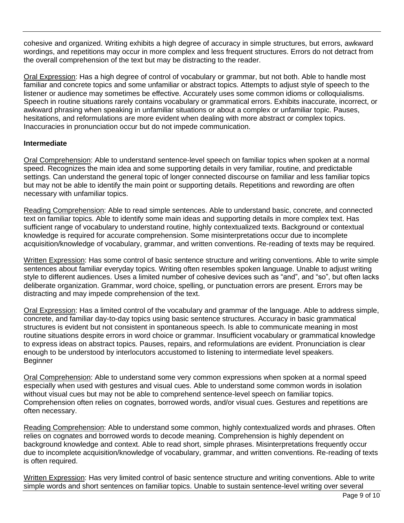cohesive and organized. Writing exhibits a high degree of accuracy in simple structures, but errors, awkward wordings, and repetitions may occur in more complex and less frequent structures. Errors do not detract from the overall comprehension of the text but may be distracting to the reader.

Oral Expression: Has a high degree of control of vocabulary or grammar, but not both. Able to handle most familiar and concrete topics and some unfamiliar or abstract topics. Attempts to adjust style of speech to the listener or audience may sometimes be effective. Accurately uses some common idioms or colloquialisms. Speech in routine situations rarely contains vocabulary or grammatical errors. Exhibits inaccurate, incorrect, or awkward phrasing when speaking in unfamiliar situations or about a complex or unfamiliar topic. Pauses, hesitations, and reformulations are more evident when dealing with more abstract or complex topics. Inaccuracies in pronunciation occur but do not impede communication.

#### **Intermediate**

Oral Comprehension: Able to understand sentence-level speech on familiar topics when spoken at a normal speed. Recognizes the main idea and some supporting details in very familiar, routine, and predictable settings. Can understand the general topic of longer connected discourse on familiar and less familiar topics but may not be able to identify the main point or supporting details. Repetitions and rewording are often necessary with unfamiliar topics.

Reading Comprehension: Able to read simple sentences. Able to understand basic, concrete, and connected text on familiar topics. Able to identify some main ideas and supporting details in more complex text. Has sufficient range of vocabulary to understand routine, highly contextualized texts. Background or contextual knowledge is required for accurate comprehension. Some misinterpretations occur due to incomplete acquisition/knowledge of vocabulary, grammar, and written conventions. Re-reading of texts may be required.

Written Expression: Has some control of basic sentence structure and writing conventions. Able to write simple sentences about familiar everyday topics. Writing often resembles spoken language. Unable to adjust writing style to different audiences. Uses a limited number of cohesive devices such as "and", and "so", but often lacks deliberate organization. Grammar, word choice, spelling, or punctuation errors are present. Errors may be distracting and may impede comprehension of the text.

Oral Expression: Has a limited control of the vocabulary and grammar of the language. Able to address simple, concrete, and familiar day-to-day topics using basic sentence structures. Accuracy in basic grammatical structures is evident but not consistent in spontaneous speech. Is able to communicate meaning in most routine situations despite errors in word choice or grammar. Insufficient vocabulary or grammatical knowledge to express ideas on abstract topics. Pauses, repairs, and reformulations are evident. Pronunciation is clear enough to be understood by interlocutors accustomed to listening to intermediate level speakers. Beginner

Oral Comprehension: Able to understand some very common expressions when spoken at a normal speed especially when used with gestures and visual cues. Able to understand some common words in isolation without visual cues but may not be able to comprehend sentence-level speech on familiar topics. Comprehension often relies on cognates, borrowed words, and/or visual cues. Gestures and repetitions are often necessary.

Reading Comprehension: Able to understand some common, highly contextualized words and phrases. Often relies on cognates and borrowed words to decode meaning. Comprehension is highly dependent on background knowledge and context. Able to read short, simple phrases. Misinterpretations frequently occur due to incomplete acquisition/knowledge of vocabulary, grammar, and written conventions. Re-reading of texts is often required.

Written Expression: Has very limited control of basic sentence structure and writing conventions. Able to write simple words and short sentences on familiar topics. Unable to sustain sentence-level writing over several